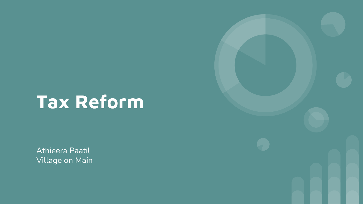# **Tax Reform**

Athieera Paatil Village on Main

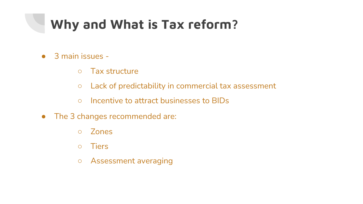### **Why and What is Tax reform?**

- 3 main issues
	- Tax structure
	- Lack of predictability in commercial tax assessment
	- Incentive to attract businesses to BIDs
- The 3 changes recommended are:
	- Zones
	- Tiers
	- Assessment averaging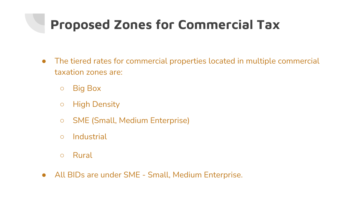### **Proposed Zones for Commercial Tax**

- The tiered rates for commercial properties located in multiple commercial taxation zones are:
	- Big Box
	- High Density
	- SME (Small, Medium Enterprise)
	- Industrial
	- Rural
- All BIDs are under SME Small, Medium Enterprise.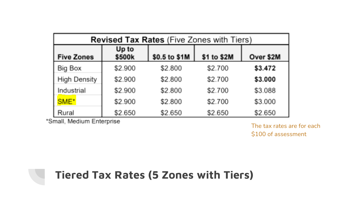| <b>Revised Tax Rates</b> (Five Zones with Tiers) |                 |               |             |           |  |  |
|--------------------------------------------------|-----------------|---------------|-------------|-----------|--|--|
| <b>Five Zones</b>                                | Up to<br>\$500k | \$0.5 to \$1M | \$1 to \$2M | Over \$2M |  |  |
| Big Box                                          | \$2.900         | \$2.800       | \$2.700     | \$3.472   |  |  |
| <b>High Density</b>                              | \$2.900         | \$2.800       | \$2.700     | \$3.000   |  |  |
| Industrial                                       | \$2.900         | \$2.800       | \$2.700     | \$3.088   |  |  |
| SME <sup>*</sup>                                 | \$2.900         | \$2.800       | \$2.700     | \$3.000   |  |  |
| Rural                                            | \$2.650         | \$2.650       | \$2.650     | \$2.650   |  |  |

\*Small, Medium Enterprise

The tax rates are for each \$100 of assessment

#### **Tiered Tax Rates (5 Zones with Tiers)**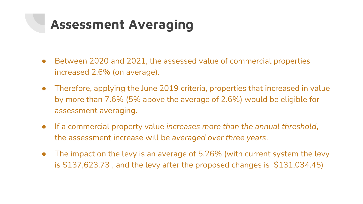### **Assessment Averaging**

- Between 2020 and 2021, the assessed value of commercial properties increased 2.6% (on average).
- Therefore, applying the June 2019 criteria, properties that increased in value by more than 7.6% (5% above the average of 2.6%) would be eligible for assessment averaging.
- If a commercial property value *increases more than the annual threshold*, the assessment increase will be *averaged over three years*.
- The impact on the levy is an average of 5.26% (with current system the levy is \$137,623.73 , and the levy after the proposed changes is \$131,034.45)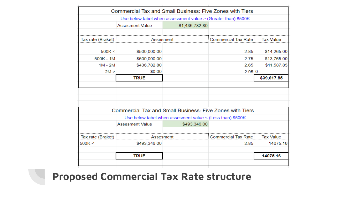|                     | Commercial Tax and Small Business: Five Zones with Tiers       |                |                      |                  |
|---------------------|----------------------------------------------------------------|----------------|----------------------|------------------|
|                     | Use below tabel when assessment value > (Greater than) \$500K  |                |                      |                  |
|                     | <b>Assesment Value</b>                                         | \$1,436,782.80 |                      |                  |
|                     |                                                                |                |                      |                  |
| Tax rate (Braket) : | Assesment                                                      |                | Commercial Tax Rate: | <b>Tax Value</b> |
|                     |                                                                |                |                      |                  |
| 500K <              | \$500,000.00                                                   |                | 2.85                 | \$14,265.00      |
| $500K - 1M$         | \$500,000.00                                                   |                | 2.75                 | \$13,765.00      |
| $1M - 2M$           | \$436,782.80                                                   |                | 2.65                 | \$11,587.85      |
| 2M >                | \$0.00                                                         |                | 2.95 0               |                  |
|                     | <b>TRUE</b>                                                    |                |                      | \$39,617.85      |
|                     |                                                                |                |                      |                  |
|                     |                                                                |                |                      |                  |
|                     |                                                                |                |                      |                  |
|                     |                                                                |                |                      |                  |
|                     | Commercial Tax and Small Business: Five Zones with Tiers       |                |                      |                  |
|                     | Use below tabel when assesment value $\leq$ (Less than) \$500K |                |                      |                  |
|                     | <b>Assesment Value</b>                                         | \$493,346.00   |                      |                  |
|                     |                                                                |                |                      |                  |
| Tax rate (Braket)   | Assesment                                                      |                | Commercial Tax Rate: | Tax Value        |
| 500K <              | \$493,346.00                                                   |                | 2.85                 | 14075.16         |
|                     |                                                                |                |                      |                  |
|                     | <b>TRUE</b>                                                    |                |                      | 14075.16         |
|                     |                                                                |                |                      |                  |
|                     |                                                                |                |                      |                  |

#### **[Proposed Commercial Tax Rate structure](about:blank)**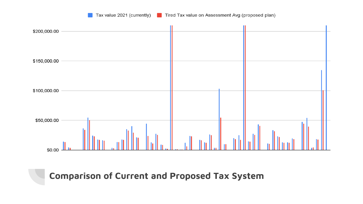Tax value 2021 (currently) Tired Tax value on Assessment Avg (proposed plan)



**[Comparison of Current and Proposed Tax System](about:blank)**